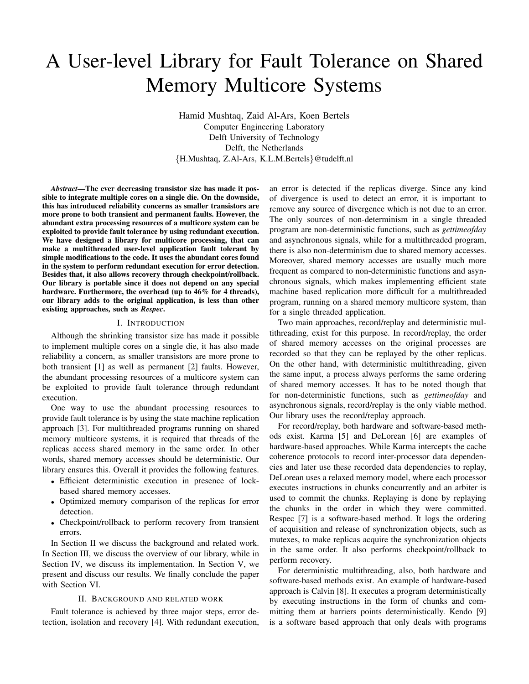# A User-level Library for Fault Tolerance on Shared Memory Multicore Systems

Hamid Mushtaq, Zaid Al-Ars, Koen Bertels Computer Engineering Laboratory Delft University of Technology Delft, the Netherlands {H.Mushtaq, Z.Al-Ars, K.L.M.Bertels}@tudelft.nl

*Abstract*—The ever decreasing transistor size has made it possible to integrate multiple cores on a single die. On the downside, this has introduced reliability concerns as smaller transistors are more prone to both transient and permanent faults. However, the abundant extra processing resources of a multicore system can be exploited to provide fault tolerance by using redundant execution. We have designed a library for multicore processing, that can make a multithreaded user-level application fault tolerant by simple modifications to the code. It uses the abundant cores found in the system to perform redundant execution for error detection. Besides that, it also allows recovery through checkpoint/rollback. Our library is portable since it does not depend on any special hardware. Furthermore, the overhead (up to 46% for 4 threads), our library adds to the original application, is less than other existing approaches, such as *Respec*.

#### I. INTRODUCTION

Although the shrinking transistor size has made it possible to implement multiple cores on a single die, it has also made reliability a concern, as smaller transistors are more prone to both transient [1] as well as permanent [2] faults. However, the abundant processing resources of a multicore system can be exploited to provide fault tolerance through redundant execution.

One way to use the abundant processing resources to provide fault tolerance is by using the state machine replication approach [3]. For multithreaded programs running on shared memory multicore systems, it is required that threads of the replicas access shared memory in the same order. In other words, shared memory accesses should be deterministic. Our library ensures this. Overall it provides the following features.

- Efficient deterministic execution in presence of lockbased shared memory accesses.
- Optimized memory comparison of the replicas for error detection.
- Checkpoint/rollback to perform recovery from transient errors.

In Section II we discuss the background and related work. In Section III, we discuss the overview of our library, while in Section IV, we discuss its implementation. In Section V, we present and discuss our results. We finally conclude the paper with Section VI.

#### II. BACKGROUND AND RELATED WORK

Fault tolerance is achieved by three major steps, error detection, isolation and recovery [4]. With redundant execution, an error is detected if the replicas diverge. Since any kind of divergence is used to detect an error, it is important to remove any source of divergence which is not due to an error. The only sources of non-determinism in a single threaded program are non-deterministic functions, such as *gettimeofday* and asynchronous signals, while for a multithreaded program, there is also non-determinism due to shared memory accesses. Moreover, shared memory accesses are usually much more frequent as compared to non-deterministic functions and asynchronous signals, which makes implementing efficient state machine based replication more difficult for a multithreaded program, running on a shared memory multicore system, than for a single threaded application.

Two main approaches, record/replay and deterministic multithreading, exist for this purpose. In record/replay, the order of shared memory accesses on the original processes are recorded so that they can be replayed by the other replicas. On the other hand, with deterministic multithreading, given the same input, a process always performs the same ordering of shared memory accesses. It has to be noted though that for non-deterministic functions, such as *gettimeofday* and asynchronous signals, record/replay is the only viable method. Our library uses the record/replay approach.

For record/replay, both hardware and software-based methods exist. Karma [5] and DeLorean [6] are examples of hardware-based approaches. While Karma intercepts the cache coherence protocols to record inter-processor data dependencies and later use these recorded data dependencies to replay, DeLorean uses a relaxed memory model, where each processor executes instructions in chunks concurrently and an arbiter is used to commit the chunks. Replaying is done by replaying the chunks in the order in which they were committed. Respec [7] is a software-based method. It logs the ordering of acquisition and release of synchronization objects, such as mutexes, to make replicas acquire the synchronization objects in the same order. It also performs checkpoint/rollback to perform recovery.

For deterministic multithreading, also, both hardware and software-based methods exist. An example of hardware-based approach is Calvin [8]. It executes a program deterministically by executing instructions in the form of chunks and committing them at barriers points deterministically. Kendo [9] is a software based approach that only deals with programs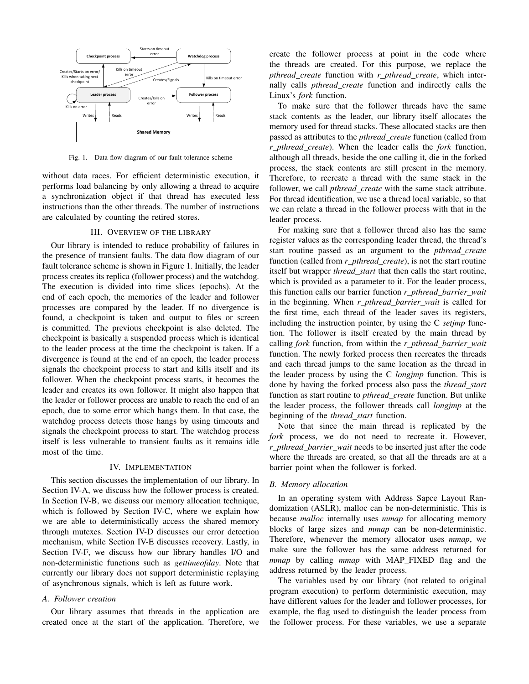

Fig. 1. Data flow diagram of our fault tolerance scheme

without data races. For efficient deterministic execution, it performs load balancing by only allowing a thread to acquire a synchronization object if that thread has executed less instructions than the other threads. The number of instructions are calculated by counting the retired stores.

#### III. OVERVIEW OF THE LIBRARY

Our library is intended to reduce probability of failures in the presence of transient faults. The data flow diagram of our fault tolerance scheme is shown in Figure 1. Initially, the leader process creates its replica (follower process) and the watchdog. The execution is divided into time slices (epochs). At the end of each epoch, the memories of the leader and follower processes are compared by the leader. If no divergence is found, a checkpoint is taken and output to files or screen is committed. The previous checkpoint is also deleted. The checkpoint is basically a suspended process which is identical to the leader process at the time the checkpoint is taken. If a divergence is found at the end of an epoch, the leader process signals the checkpoint process to start and kills itself and its follower. When the checkpoint process starts, it becomes the leader and creates its own follower. It might also happen that the leader or follower process are unable to reach the end of an epoch, due to some error which hangs them. In that case, the watchdog process detects those hangs by using timeouts and signals the checkpoint process to start. The watchdog process itself is less vulnerable to transient faults as it remains idle most of the time.

#### IV. IMPLEMENTATION

This section discusses the implementation of our library. In Section IV-A, we discuss how the follower process is created. In Section IV-B, we discuss our memory allocation technique, which is followed by Section IV-C, where we explain how we are able to deterministically access the shared memory through mutexes. Section IV-D discusses our error detection mechanism, while Section IV-E discusses recovery. Lastly, in Section IV-F, we discuss how our library handles I/O and non-deterministic functions such as *gettimeofday*. Note that currently our library does not support deterministic replaying of asynchronous signals, which is left as future work.

#### *A. Follower creation*

Our library assumes that threads in the application are created once at the start of the application. Therefore, we

create the follower process at point in the code where the threads are created. For this purpose, we replace the *pthread create* function with *r pthread create*, which internally calls *pthread create* function and indirectly calls the Linux's *fork* function.

To make sure that the follower threads have the same stack contents as the leader, our library itself allocates the memory used for thread stacks. These allocated stacks are then passed as attributes to the *pthread create* function (called from *r pthread create*). When the leader calls the *fork* function, although all threads, beside the one calling it, die in the forked process, the stack contents are still present in the memory. Therefore, to recreate a thread with the same stack in the follower, we call *pthread create* with the same stack attribute. For thread identification, we use a thread local variable, so that we can relate a thread in the follower process with that in the leader process.

For making sure that a follower thread also has the same register values as the corresponding leader thread, the thread's start routine passed as an argument to the *pthread create* function (called from *r pthread create*), is not the start routine itself but wrapper *thread start* that then calls the start routine, which is provided as a parameter to it. For the leader process, this function calls our barrier function *r pthread barrier wait* in the beginning. When *r pthread barrier wait* is called for the first time, each thread of the leader saves its registers, including the instruction pointer, by using the C *setjmp* function. The follower is itself created by the main thread by calling *fork* function, from within the *r pthread barrier wait* function. The newly forked process then recreates the threads and each thread jumps to the same location as the thread in the leader process by using the C *longjmp* function. This is done by having the forked process also pass the *thread start* function as start routine to *pthread create* function. But unlike the leader process, the follower threads call *longjmp* at the beginning of the *thread start* function.

Note that since the main thread is replicated by the *fork* process, we do not need to recreate it. However, *r pthread barrier wait* needs to be inserted just after the code where the threads are created, so that all the threads are at a barrier point when the follower is forked.

#### *B. Memory allocation*

In an operating system with Address Sapce Layout Randomization (ASLR), malloc can be non-deterministic. This is because *malloc* internally uses *mmap* for allocating memory blocks of large sizes and *mmap* can be non-deterministic. Therefore, whenever the memory allocator uses *mmap*, we make sure the follower has the same address returned for *mmap* by calling *mmap* with MAP FIXED flag and the address returned by the leader process.

The variables used by our library (not related to original program execution) to perform deterministic execution, may have different values for the leader and follower processes, for example, the flag used to distinguish the leader process from the follower process. For these variables, we use a separate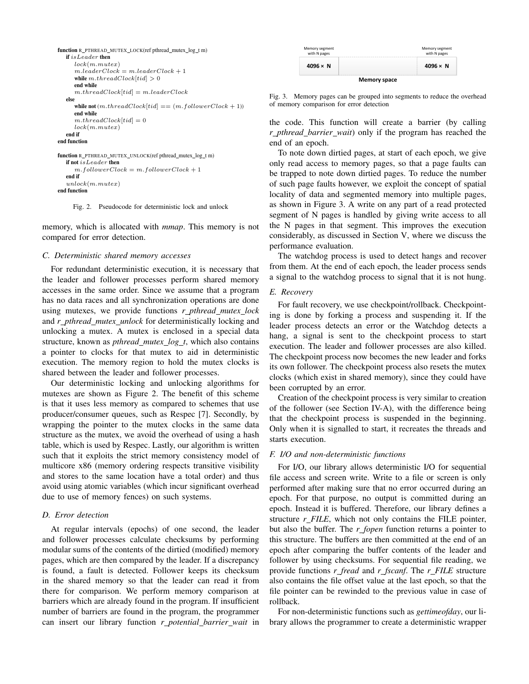```
function R_PTHREAD_MUTEX_LOCK(ref pthread_mutex_log_t m)
\frac{u}{\text{lock}(m,m \text{utex})}while m.threadClock[tid] > 0if isLeader then
       m. leaderClock = m. leaderClock + 1end while
       m.threadClock[tid] = m.lengthClockelse
       while not (m.threadClock[tid] == (m.followerClock + 1))end while
       m.threadClock[tid] = 0lock(m.mutex)
    end if
   end function
  function R_PTHREAD_MUTEX_UNLOCK(ref pthread_mutex_log_t m)
    if not isLeader then
       m.followerClock = m.followerClock + 1end if
     unlock(m.mutes)end function
```
Fig. 2. Pseudocode for deterministic lock and unlock

memory, which is allocated with *mmap*. This memory is not the compared for error detection. Compared to schemes that uses  $\alpha$ 

## *C. Deterministic shared memory accesses* [79].  $\overline{C}$

For redundant deterministic execution, it is necessary that from the leader and follower processes perform shared memory a si accesses in the same order. Since we assume that a program  $E$ has no data races and all synchronization operations are done using mutexes, we provide functions  $r\_phread\_mutex\_lock$  ing and *r pthread mutex unlock* for deterministically locking and unlocking a mutex. A mutex is enclosed in a special data structure, known as *pthread mutex log t*, which also contains a pointer to clocks for that mutex to aid in deterministic execution. The memory region to hold the mutex clocks is shared between the leader and follower processes.

Our deterministic locking and unlocking algorithms for mutexes are shown as Figure 2. The benefit of this scheme is that it uses less memory as compared to schemes that use producer/consumer queues, such as Respec [7]. Secondly, by wrapping the pointer to the mutex clocks in the same data structure as the mutex, we avoid the overhead of using a hash table, which is used by Respec. Lastly, our algorithm is written such that it exploits the strict memory consistency model of multicore x86 (memory ordering respects transitive visibility and stores to the same location have a total order) and thus avoid using atomic variables (which incur significant overhead due to use of memory fences) on such systems.

#### *D. Error detection*

At regular intervals (epochs) of one second, the leader and follower processes calculate checksums by performing modular sums of the contents of the dirtied (modified) memory pages, which are then compared by the leader. If a discrepancy is found, a fault is detected. Follower keeps its checksum in the shared memory so that the leader can read it from there for comparison. We perform memory comparison at barriers which are already found in the program. If insufficient number of barriers are found in the program, the programmer can insert our library function *r potential barrier wait* in

|                                | <b>Memory space</b> |                                |
|--------------------------------|---------------------|--------------------------------|
| $4096 \times N$                |                     | $4096 \times N$                |
| Memory segment<br>with N pages |                     | Memory segment<br>with N pages |

Fig. 3. Memory pages can be grouped into segments to reduce the overhead of memory comparison for error detection

 $T$  we mory space

*r pthread\_barrier\_wait*) only if the program has reached the the code. This function will create a barrier (by calling end of an epoch.

Our deterministic locking and unlocking algorithms for To note down dirtied pages, at start of each epoch, we give only read access to memory pages, so that a page faults can of such page faults however, we exploit the concept of spatial of such page faults however, we exploit the concept of spatial be such page radius however, we enpror the concept or spatial.<br>locality of data and segmented memory into multiple pages, as shown in Figure 3. A write on any part of a read protected segment of N pages is handled by giving write access to all the N pages in that segment. This improves the execution considerably, as discussed in Section V, where we discuss the be trapped to note down dirtied pages. To reduce the number performance evaluation.

rrormance evaluation.<br>The watchdog process is used to detect hangs and recover from them. At the end of each epoch, the leader process sends a signal to the watchdog process to signal that it is not hung.

#### $t_0$ that the checkpoint process is suspended in the beginning. *E. Recovery*

For fault recovery, we use checkpoint/rollback. Checkpointing is done by forking a process and suspending it. If the leader process detects an error or the Watchdog detects a hang, a signal is sent to the checkpoint process to start execution. The leader and follower processes are also killed. The checkpoint process now becomes the new leader and forks its own follower. The checkpoint process also resets the mutex clocks (which exist in shared memory), since they could have been corrupted by an error.

Creation of the checkpoint process is very similar to creation of the follower (see Section IV-A), with the difference being that the checkpoint process is suspended in the beginning. Only when it is signalled to start, it recreates the threads and starts execution.

### *F. I/O and non-deterministic functions*

For I/O, our library allows deterministic I/O for sequential file access and screen write. Write to a file or screen is only performed after making sure that no error occurred during an epoch. For that purpose, no output is committed during an epoch. Instead it is buffered. Therefore, our library defines a structure *r FILE*, which not only contains the FILE pointer, but also the buffer. The *r fopen* function returns a pointer to this structure. The buffers are then committed at the end of an epoch after comparing the buffer contents of the leader and follower by using checksums. For sequential file reading, we provide functions *r fread* and *r fscanf*. The *r FILE* structure also contains the file offset value at the last epoch, so that the file pointer can be rewinded to the previous value in case of rollback.

For non-deterministic functions such as *gettimeofday*, our library allows the programmer to create a deterministic wrapper